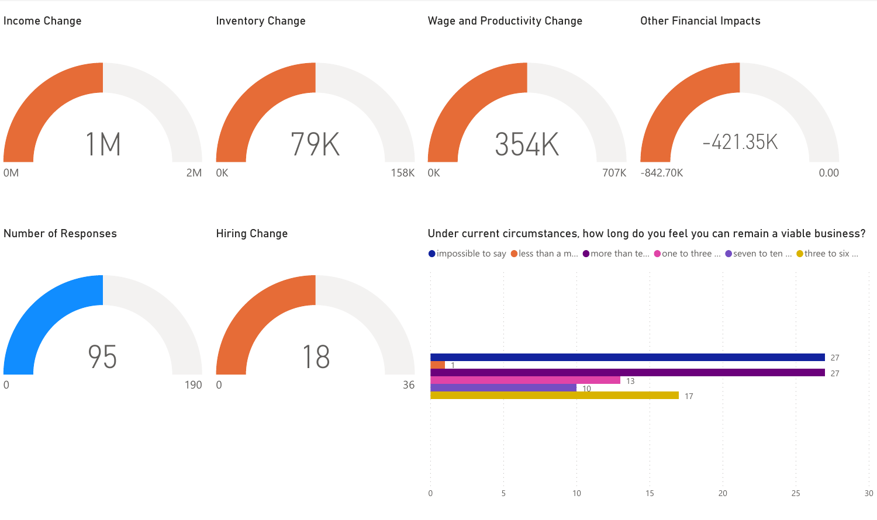